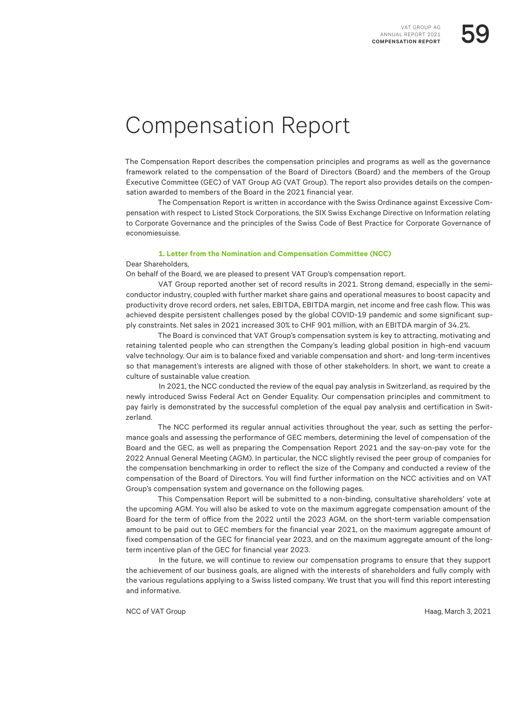## Compensation Report

The Compensation Report describes the compensation principles and programs as well as the governance framework related to the compensation of the Board of Directors (Board) and the members of the Group Executive Committee (GEC) of VAT Group AG (VAT Group). The report also provides details on the compensation awarded to members of the Board in the 2021 financial year.

The Compensation Report is written in accordance with the Swiss Ordinance against Excessive Compensation with respect to Listed Stock Corporations, the SIX Swiss Exchange Directive on Information relating to Corporate Governance and the principles of the Swiss Code of Best Practice for Corporate Governance of economiesuisse.

### **1. Letter from the Nomination and Compensation Committee (NCC)**

Dear Shareholders,

On behalf of the Board, we are pleased to present VAT Group's compensation report.

VAT Group reported another set of record results in 2021. Strong demand, especially in the semiconductor industry, coupled with further market share gains and operational measures to boost capacity and productivity drove record orders, net sales, EBITDA, EBITDA margin, net income and free cash flow. This was achieved despite persistent challenges posed by the global COVID-19 pandemic and some significant supply constraints. Net sales in 2021 increased 30% to CHF 901 million, with an EBITDA margin of 34.2%.

The Board is convinced that VAT Group's compensation system is key to attracting, motivating and retaining talented people who can strengthen the Company's leading global position in high-end vacuum valve technology. Our aim is to balance fixed and variable compensation and short- and long-term incentives so that management's interests are aligned with those of other stakeholders. In short, we want to create a culture of sustainable value creation.

In 2021, the NCC conducted the review of the equal pay analysis in Switzerland, as required by the newly introduced Swiss Federal Act on Gender Equality. Our compensation principles and commitment to pay fairly is demonstrated by the successful completion of the equal pay analysis and certification in Switzerland.

The NCC performed its regular annual activities throughout the year, such as setting the performance goals and assessing the performance of GEC members, determining the level of compensation of the Board and the GEC, as well as preparing the Compensation Report 2021 and the say-on-pay vote for the 2022 Annual General Meeting (AGM). In particular, the NCC slightly revised the peer group of companies for the compensation benchmarking in order to reflect the size of the Company and conducted a review of the compensation of the Board of Directors. You will find further information on the NCC activities and on VAT Group's compensation system and governance on the following pages.

This Compensation Report will be submitted to a non-binding, consultative shareholders' vote at the upcoming AGM. You will also be asked to vote on the maximum aggregate compensation amount of the Board for the term of office from the 2022 until the 2023 AGM, on the short-term variable compensation amount to be paid out to GEC members for the financial year 2021, on the maximum aggregate amount of fixed compensation of the GEC for financial year 2023, and on the maximum aggregate amount of the longterm incentive plan of the GEC for financial year 2023.

In the future, we will continue to review our compensation programs to ensure that they support the achievement of our business goals, are aligned with the interests of shareholders and fully comply with the various regulations applying to a Swiss listed company. We trust that you will find this report interesting and informative.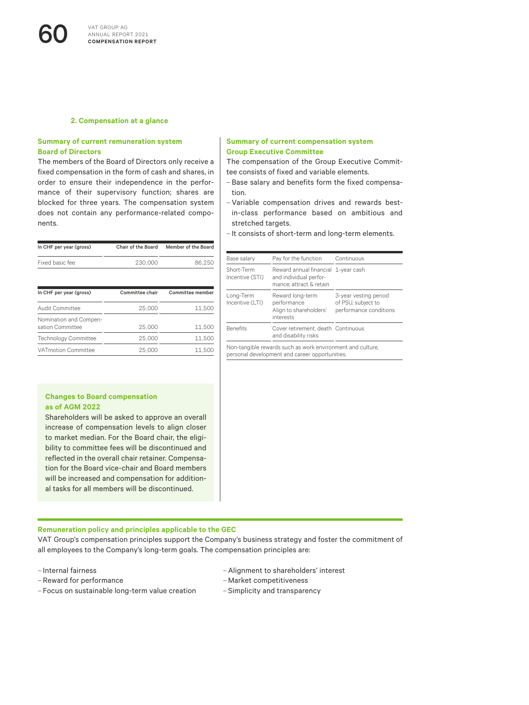#### **2. Compensation at a glance**

#### **Summary of current remuneration system Board of Directors**

The members of the Board of Directors only receive a fixed compensation in the form of cash and shares, in order to ensure their independence in the performance of their supervisory function; shares are blocked for three years. The compensation system does not contain any performance-related components.

| In CHF per year (gross)                    | Chair of the Board | Member of the Board |
|--------------------------------------------|--------------------|---------------------|
| Fixed basic fee                            | 230,000            | 86.250              |
| In CHF per year (gross)                    | Committee chair    | Committee member    |
| Audit Committee                            | 25,000             | 11.500              |
| Nomination and Compen-<br>sation Committee | 25,000             | 11.500              |
| <b>Technology Committee</b>                | 25,000             | 11.500              |
| <b>VATmotion Committee</b>                 | 25,000             | 11.500              |
|                                            |                    |                     |

#### **Changes to Board compensation as of AGM 2022**

Shareholders will be asked to approve an overall increase of compensation levels to align closer to market median. For the Board chair, the eligibility to committee fees will be discontinued and reflected in the overall chair retainer. Compensation for the Board vice-chair and Board members will be increased and compensation for additional tasks for all members will be discontinued.

#### **Summary of current compensation system Group Executive Committee**

The compensation of the Group Executive Committee consists of fixed and variable elements.

- Base salary and benefits form the fixed compensation.
- –Variable compensation drives and rewards bestin-class performance based on ambitious and stretched targets.
- It consists of short-term and long-term elements.

| Base salary                   | Pay for the function                                                                                         | Continuous                                                            |
|-------------------------------|--------------------------------------------------------------------------------------------------------------|-----------------------------------------------------------------------|
| Short-Term<br>Incentive (STI) | Reward annual financial 1-year cash<br>and individual perfor-<br>mance: attract & retain                     |                                                                       |
| Long-Term<br>Incentive (LTI)  | Reward long-term<br>performance<br>Align to shareholders'<br>interests                                       | 3-year vesting period<br>of PSU, subject to<br>performance conditions |
| <b>Benefits</b>               | Cover retirement, death Continuous<br>and disability risks                                                   |                                                                       |
|                               | Non-tangible rewards such as work environment and culture.<br>personal development and career opportunities. |                                                                       |

#### **Remuneration policy and principles applicable to the GEC**

VAT Group's compensation principles support the Company's business strategy and foster the commitment of all employees to the Company's long-term goals. The compensation principles are:

- Internal fairness
- Reward for performance
- Focus on sustainable long-term value creation
- –Alignment to shareholders' interest
- –Market competitiveness
- Simplicity and transparency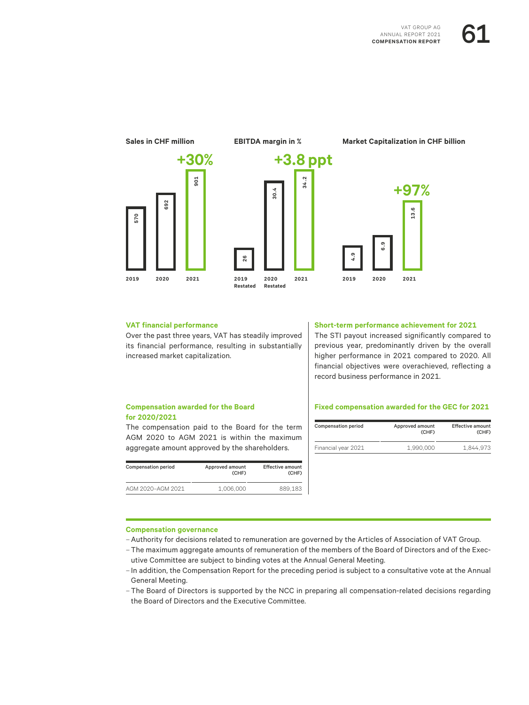



#### **VAT financial performance**

Over the past three years, VAT has steadily improved its financial performance, resulting in substantially increased market capitalization.

#### **Short-term performance achievement for 2021**

The STI payout increased significantly compared to previous year, predominantly driven by the overall higher performance in 2021 compared to 2020. All financial objectives were overachieved, reflecting a record business performance in 2021.

#### **Compensation awarded for the Board for 2020/2021**

The compensation paid to the Board for the term AGM 2020 to AGM 2021 is within the maximum aggregate amount approved by the shareholders.

| <b>Compensation period</b> | Approved amount<br>(CHF) | <b>Effective amount</b><br>(CHF) |
|----------------------------|--------------------------|----------------------------------|
| AGM 2020-AGM 2021          | 1.006.000                | 889.183                          |

#### **Fixed compensation awarded for the GEC for 2021**

| <b>Compensation period</b> | <b>Effective amount</b><br>Approved amount<br>(CHF) |           |
|----------------------------|-----------------------------------------------------|-----------|
| Financial year 2021        | 1.990.000                                           | 1.844.973 |

#### **Compensation governance**

–Authority for decisions related to remuneration are governed by the Articles of Association of VAT Group.

- The maximum aggregate amounts of remuneration of the members of the Board of Directors and of the Executive Committee are subject to binding votes at the Annual General Meeting.
- In addition, the Compensation Report for the preceding period is subject to a consultative vote at the Annual General Meeting.
- The Board of Directors is supported by the NCC in preparing all compensation-related decisions regarding the Board of Directors and the Executive Committee.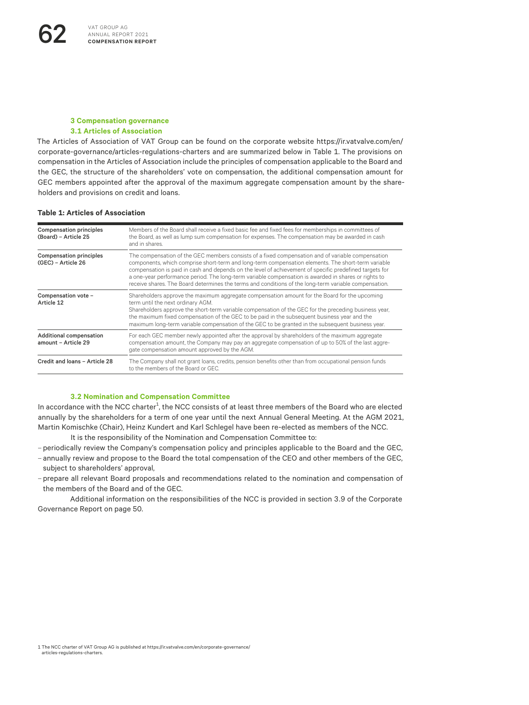#### **3 Compensation governance 3.1 Articles of Association**

The Articles of Association of VAT Group can be found on the corporate website [https://ir.vatvalve.com/en/](https://ir.vatvalve.com/en/corporate-governance/articles-regulations-charters) [corporate-governance/articles-regulations-charters](https://ir.vatvalve.com/en/corporate-governance/articles-regulations-charters) and are summarized below in Table 1. The provisions on compensation in the Articles of Association include the principles of compensation applicable to the Board and the GEC, the structure of the shareholders' vote on compensation, the additional compensation amount for GEC members appointed after the approval of the maximum aggregate compensation amount by the shareholders and provisions on credit and loans.

#### **Table 1: Articles of Association**

| <b>Compensation principles</b><br>(Board) - Article 25 | Members of the Board shall receive a fixed basic fee and fixed fees for memberships in committees of<br>the Board, as well as lump sum compensation for expenses. The compensation may be awarded in cash<br>and in shares.                                                                                                                                                                                                                                                                                                         |
|--------------------------------------------------------|-------------------------------------------------------------------------------------------------------------------------------------------------------------------------------------------------------------------------------------------------------------------------------------------------------------------------------------------------------------------------------------------------------------------------------------------------------------------------------------------------------------------------------------|
| <b>Compensation principles</b><br>(GEC) - Article 26   | The compensation of the GEC members consists of a fixed compensation and of variable compensation<br>components, which comprise short-term and long-term compensation elements. The short-term variable<br>compensation is paid in cash and depends on the level of achievement of specific predefined targets for<br>a one-year performance period. The long-term variable compensation is awarded in shares or rights to<br>receive shares. The Board determines the terms and conditions of the long-term variable compensation. |
| Compensation vote -<br>Article 12                      | Shareholders approve the maximum aggregate compensation amount for the Board for the upcoming<br>term until the next ordinary AGM.<br>Shareholders approve the short-term variable compensation of the GEC for the preceding business year,<br>the maximum fixed compensation of the GEC to be paid in the subsequent business year and the<br>maximum long-term variable compensation of the GEC to be granted in the subsequent business year.                                                                                    |
| Additional compensation<br>amount - Article 29         | For each GEC member newly appointed after the approval by shareholders of the maximum aggregate<br>compensation amount, the Company may pay an aggregate compensation of up to 50% of the last aggre-<br>gate compensation amount approved by the AGM.                                                                                                                                                                                                                                                                              |
| Credit and loans - Article 28                          | The Company shall not grant loans, credits, pension benefits other than from occupational pension funds<br>to the members of the Board or GEC.                                                                                                                                                                                                                                                                                                                                                                                      |

#### **3.2 Nomination and Compensation Committee**

In accordance with the NCC charter $^1$ , the NCC consists of at least three members of the Board who are elected annually by the shareholders for a term of one year until the next Annual General Meeting. At the AGM 2021, Martin Komischke (Chair), Heinz Kundert and Karl Schlegel have been re-elected as members of the NCC.

It is the responsibility of the Nomination and Compensation Committee to:

– periodically review the Company's compensation policy and principles applicable to the Board and the GEC,

- annually review and propose to the Board the total compensation of the CEO and other members of the GEC, subject to shareholders' approval,
- prepare all relevant Board proposals and recommendations related to the nomination and compensation of the members of the Board and of the GEC.

Additional information on the responsibilities of the NCC is provided in section 3.9 of the Corporate Governance Report on page 50.

<sup>1</sup> The NCC charter of VAT Group AG is published at [https://ir.vatvalve.com/en/corporate-governance/](https://ir.vatvalve.com/en/corporate-governance/articles-regulations-charters) [articles-regulations-charters.](https://ir.vatvalve.com/en/corporate-governance/articles-regulations-charters)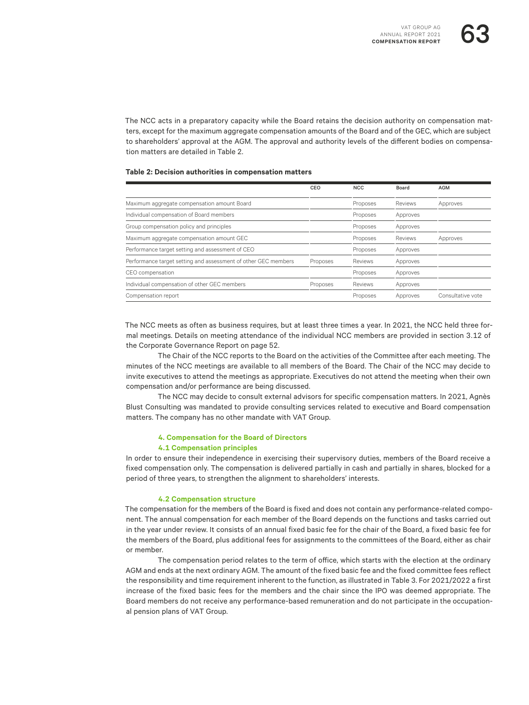The NCC acts in a preparatory capacity while the Board retains the decision authority on compensation matters, except for the maximum aggregate compensation amounts of the Board and of the GEC, which are subject to shareholders' approval at the AGM. The approval and authority levels of the different bodies on compensation matters are detailed in Table 2.

#### **Table 2: Decision authorities in compensation matters**

|                                                                | CEO      | <b>NCC</b>     | Board    | <b>AGM</b>        |
|----------------------------------------------------------------|----------|----------------|----------|-------------------|
| Maximum aggregate compensation amount Board                    |          | Proposes       | Reviews  | Approves          |
| Individual compensation of Board members                       |          | Proposes       | Approves |                   |
| Group compensation policy and principles                       |          | Proposes       | Approves |                   |
| Maximum aggregate compensation amount GEC                      |          | Proposes       | Reviews  | Approves          |
| Performance target setting and assessment of CEO               |          | Proposes       | Approves |                   |
| Performance target setting and assessment of other GEC members | Proposes | <b>Reviews</b> | Approves |                   |
| CEO compensation                                               |          | Proposes       | Approves |                   |
| Individual compensation of other GEC members                   | Proposes | Reviews        | Approves |                   |
| Compensation report                                            |          | Proposes       | Approves | Consultative vote |

The NCC meets as often as business requires, but at least three times a year. In 2021, the NCC held three formal meetings. Details on meeting attendance of the individual NCC members are provided in section 3.12 of the Corporate Governance Report on page 52.

The Chair of the NCC reports to the Board on the activities of the Committee after each meeting. The minutes of the NCC meetings are available to all members of the Board. The Chair of the NCC may decide to invite executives to attend the meetings as appropriate. Executives do not attend the meeting when their own compensation and/or performance are being discussed.

The NCC may decide to consult external advisors for specific compensation matters. In 2021, Agnès Blust Consulting was mandated to provide consulting services related to executive and Board compensation matters. The company has no other mandate with VAT Group.

#### **4. Compensation for the Board of Directors**

#### **4.1 Compensation principles**

In order to ensure their independence in exercising their supervisory duties, members of the Board receive a fixed compensation only. The compensation is delivered partially in cash and partially in shares, blocked for a period of three years, to strengthen the alignment to shareholders' interests.

#### **4.2 Compensation structure**

The compensation for the members of the Board is fixed and does not contain any performance-related component. The annual compensation for each member of the Board depends on the functions and tasks carried out in the year under review. It consists of an annual fixed basic fee for the chair of the Board, a fixed basic fee for the members of the Board, plus additional fees for assignments to the committees of the Board, either as chair or member.

The compensation period relates to the term of office, which starts with the election at the ordinary AGM and ends at the next ordinary AGM. The amount of the fixed basic fee and the fixed committee fees reflect the responsibility and time requirement inherent to the function, as illustrated in Table 3. For 2021/2022 a first increase of the fixed basic fees for the members and the chair since the IPO was deemed appropriate. The Board members do not receive any performance-based remuneration and do not participate in the occupational pension plans of VAT Group.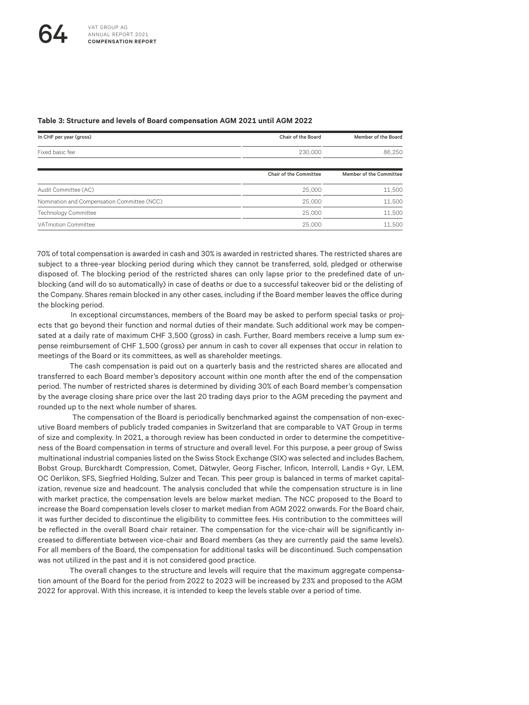| In CHF per year (gross)                     | Chair of the Board     | Member of the Board     |
|---------------------------------------------|------------------------|-------------------------|
| Fixed basic fee                             | 230,000                | 86,250                  |
|                                             | Chair of the Committee | Member of the Committee |
| Audit Committee (AC)                        | 25,000                 | 11,500                  |
| Nomination and Compensation Committee (NCC) | 25,000                 | 11,500                  |
| <b>Technology Committee</b>                 | 25,000                 | 11,500                  |
| <b>VATmotion Committee</b>                  | 25,000                 | 11,500                  |

#### **Table 3: Structure and levels of Board compensation AGM 2021 until AGM 2022**

70% of total compensation is awarded in cash and 30% is awarded in restricted shares. The restricted shares are subject to a three-year blocking period during which they cannot be transferred, sold, pledged or otherwise disposed of. The blocking period of the restricted shares can only lapse prior to the predefined date of unblocking (and will do so automatically) in case of deaths or due to a successful takeover bid or the delisting of the Company. Shares remain blocked in any other cases, including if the Board member leaves the office during the blocking period.

In exceptional circumstances, members of the Board may be asked to perform special tasks or projects that go beyond their function and normal duties of their mandate. Such additional work may be compensated at a daily rate of maximum CHF 3,500 (gross) in cash. Further, Board members receive a lump sum expense reimbursement of CHF 1,500 (gross) per annum in cash to cover all expenses that occur in relation to meetings of the Board or its committees, as well as shareholder meetings.

The cash compensation is paid out on a quarterly basis and the restricted shares are allocated and transferred to each Board member's depository account within one month after the end of the compensation period. The number of restricted shares is determined by dividing 30% of each Board member's compensation by the average closing share price over the last 20 trading days prior to the AGM preceding the payment and rounded up to the next whole number of shares.

 The compensation of the Board is periodically benchmarked against the compensation of non-executive Board members of publicly traded companies in Switzerland that are comparable to VAT Group in terms of size and complexity. In 2021, a thorough review has been conducted in order to determine the competitiveness of the Board compensation in terms of structure and overall level. For this purpose, a peer group of Swiss multinational industrial companies listed on the Swiss Stock Exchange (SIX) was selected and includes Bachem, Bobst Group, Burckhardt Compression, Comet, Dätwyler, Georg Fischer, Inficon, Interroll, Landis +Gyr, LEM, OC Oerlikon, SFS, Siegfried Holding, Sulzer and Tecan. This peer group is balanced in terms of market capitalization, revenue size and headcount. The analysis concluded that while the compensation structure is in line with market practice, the compensation levels are below market median. The NCC proposed to the Board to increase the Board compensation levels closer to market median from AGM 2022 onwards. For the Board chair, it was further decided to discontinue the eligibility to committee fees. His contribution to the committees will be reflected in the overall Board chair retainer. The compensation for the vice-chair will be significantly increased to differentiate between vice-chair and Board members (as they are currently paid the same levels). For all members of the Board, the compensation for additional tasks will be discontinued. Such compensation was not utilized in the past and it is not considered good practice.

The overall changes to the structure and levels will require that the maximum aggregate compensation amount of the Board for the period from 2022 to 2023 will be increased by 23% and proposed to the AGM 2022 for approval. With this increase, it is intended to keep the levels stable over a period of time.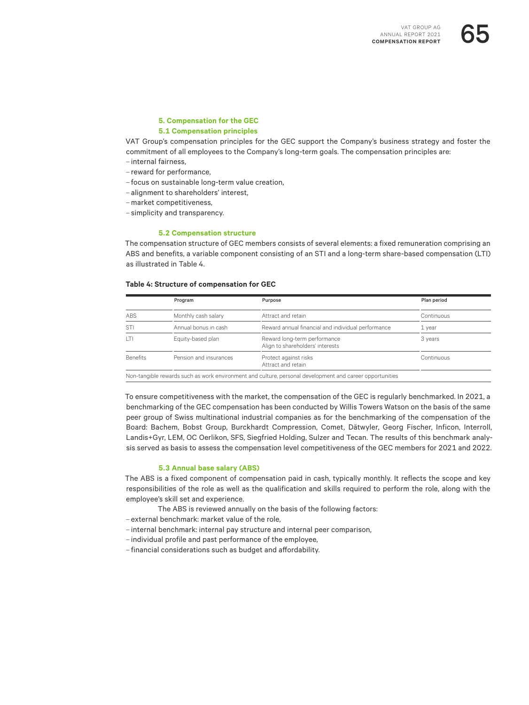#### **5. Compensation for the GEC 5.1 Compensation principles**

VAT Group's compensation principles for the GEC support the Company's business strategy and foster the commitment of all employees to the Company's long-term goals. The compensation principles are:

- internal fairness,
- reward for performance,
- focus on sustainable long-term value creation,
- alignment to shareholders' interest,
- market competitiveness,
- simplicity and transparency.

#### **5.2 Compensation structure**

The compensation structure of GEC members consists of several elements: a fixed remuneration comprising an ABS and benefits, a variable component consisting of an STI and a long-term share-based compensation (LTI) as illustrated in Table 4.

#### **Table 4: Structure of compensation for GEC**

|                 | Program                | Purpose                                                          | Plan period |
|-----------------|------------------------|------------------------------------------------------------------|-------------|
| ABS             | Monthly cash salary    | Attract and retain                                               | Continuous  |
| STI             | Annual bonus in cash   | Reward annual financial and individual performance               | 1 year      |
| T               | Equity-based plan      | Reward long-term performance<br>Align to shareholders' interests | 3 years     |
| <b>Benefits</b> | Pension and insurances | Protect against risks<br>Attract and retain                      | Continuous  |

To ensure competitiveness with the market, the compensation of the GEC is regularly benchmarked. In 2021, a benchmarking of the GEC compensation has been conducted by Willis Towers Watson on the basis of the same peer group of Swiss multinational industrial companies as for the benchmarking of the compensation of the Board: Bachem, Bobst Group, Burckhardt Compression, Comet, Dätwyler, Georg Fischer, Inficon, Interroll, Landis+Gyr, LEM, OC Oerlikon, SFS, Siegfried Holding, Sulzer and Tecan. The results of this benchmark analysis served as basis to assess the compensation level competitiveness of the GEC members for 2021 and 2022.

#### **5.3 Annual base salary (ABS)**

The ABS is a fixed component of compensation paid in cash, typically monthly. It reflects the scope and key responsibilities of the role as well as the qualification and skills required to perform the role, along with the employee's skill set and experience.

- The ABS is reviewed annually on the basis of the following factors:
- external benchmark: market value of the role,
- internal benchmark: internal pay structure and internal peer comparison,
- individual profile and past performance of the employee,
- financial considerations such as budget and affordability.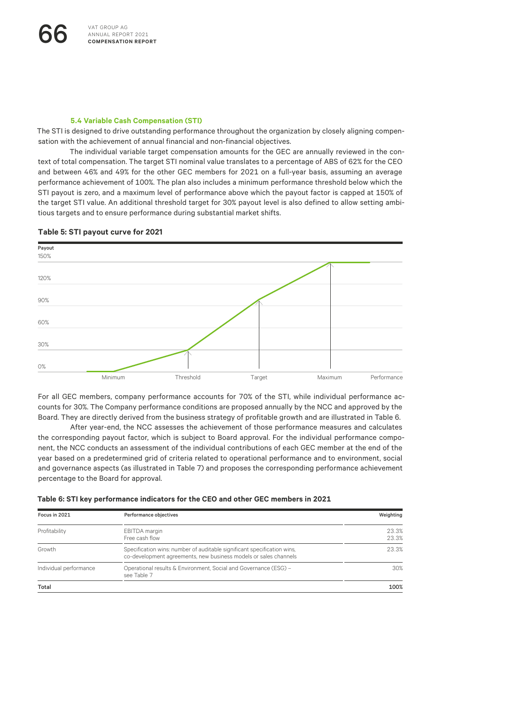#### **5.4 Variable Cash Compensation (STI)**

The STI is designed to drive outstanding performance throughout the organization by closely aligning compensation with the achievement of annual financial and non-financial objectives.

The individual variable target compensation amounts for the GEC are annually reviewed in the context of total compensation. The target STI nominal value translates to a percentage of ABS of 62% for the CEO and between 46% and 49% for the other GEC members for 2021 on a full-year basis, assuming an average performance achievement of 100%. The plan also includes a minimum performance threshold below which the STI payout is zero, and a maximum level of performance above which the payout factor is capped at 150% of the target STI value. An additional threshold target for 30% payout level is also defined to allow setting ambitious targets and to ensure performance during substantial market shifts.

#### **Table 5: STI payout curve for 2021**



For all GEC members, company performance accounts for 70% of the STI, while individual performance accounts for 30%. The Company performance conditions are proposed annually by the NCC and approved by the Board. They are directly derived from the business strategy of profitable growth and are illustrated in Table 6.

After year-end, the NCC assesses the achievement of those performance measures and calculates the corresponding payout factor, which is subject to Board approval. For the individual performance component, the NCC conducts an assessment of the individual contributions of each GEC member at the end of the year based on a predetermined grid of criteria related to operational performance and to environment, social and governance aspects (as illustrated in Table 7) and proposes the corresponding performance achievement percentage to the Board for approval.

| Focus in 2021          | Performance objectives                                                                                                                      | Weighting      |
|------------------------|---------------------------------------------------------------------------------------------------------------------------------------------|----------------|
| Profitability          | EBITDA margin<br>Free cash flow                                                                                                             | 23.3%<br>23.3% |
| Growth                 | Specification wins: number of auditable significant specification wins,<br>co-development agreements, new business models or sales channels | 23.3%          |
| Individual performance | Operational results & Environment, Social and Governance (ESG) -<br>see Table 7                                                             | 30%            |
| Total                  |                                                                                                                                             | 100%           |

**Table 6: STI key performance indicators for the CEO and other GEC members in 2021**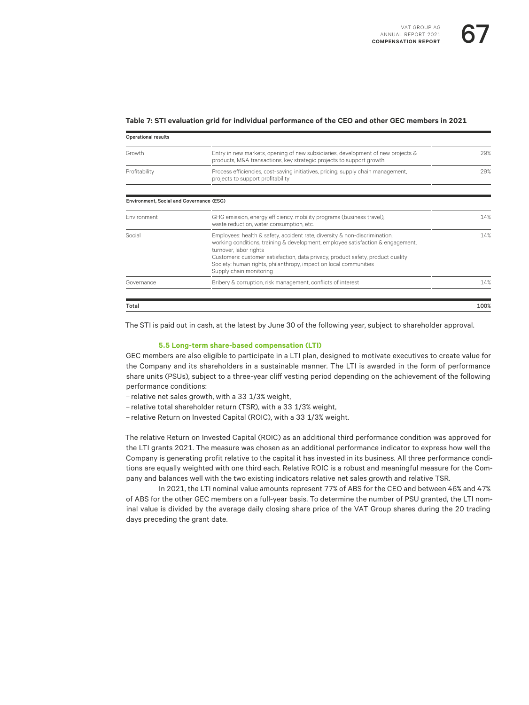#### **Table 7: STI evaluation grid for individual performance of the CEO and other GEC members in 2021**

| <b>Operational results</b>               |                                                                                                                                                                                                                                                                                                                                                                           |      |
|------------------------------------------|---------------------------------------------------------------------------------------------------------------------------------------------------------------------------------------------------------------------------------------------------------------------------------------------------------------------------------------------------------------------------|------|
| Growth                                   | Entry in new markets, opening of new subsidiaries, development of new projects &<br>products, M&A transactions, key strategic projects to support growth                                                                                                                                                                                                                  | 29%  |
| Profitability                            | Process efficiencies, cost-saving initiatives, pricing, supply chain management,<br>projects to support profitability                                                                                                                                                                                                                                                     | 29%  |
| Environment, Social and Governance (ESG) |                                                                                                                                                                                                                                                                                                                                                                           |      |
| Fnvironment                              | GHG emission, energy efficiency, mobility programs (business travel),<br>waste reduction, water consumption, etc.                                                                                                                                                                                                                                                         | 14%  |
| Social                                   | Employees: health & safety, accident rate, diversity & non-discrimination,<br>working conditions, training & development, employee satisfaction & engagement,<br>turnover, labor rights<br>Customers: customer satisfaction, data privacy, product safety, product quality<br>Society: human rights, philanthropy, impact on local communities<br>Supply chain monitoring | 14%  |
| Governance                               | Bribery & corruption, risk management, conflicts of interest                                                                                                                                                                                                                                                                                                              | 14%  |
| Total                                    |                                                                                                                                                                                                                                                                                                                                                                           | 100% |

The STI is paid out in cash, at the latest by June 30 of the following year, subject to shareholder approval.

#### **5.5 Long-term share-based compensation (LTI)**

GEC members are also eligible to participate in a LTI plan, designed to motivate executives to create value for the Company and its shareholders in a sustainable manner. The LTI is awarded in the form of performance share units (PSUs), subject to a three-year cliff vesting period depending on the achievement of the following performance conditions:

- relative net sales growth, with a 33 1/3% weight,
- relative total shareholder return (TSR), with a 33 1/3% weight,
- relative Return on Invested Capital (ROIC), with a 33 1/3% weight.

The relative Return on Invested Capital (ROIC) as an additional third performance condition was approved for the LTI grants 2021. The measure was chosen as an additional performance indicator to express how well the Company is generating profit relative to the capital it has invested in its business. All three performance conditions are equally weighted with one third each. Relative ROIC is a robust and meaningful measure for the Company and balances well with the two existing indicators relative net sales growth and relative TSR.

In 2021, the LTI nominal value amounts represent 77% of ABS for the CEO and between 46% and 47% of ABS for the other GEC members on a full-year basis. To determine the number of PSU granted, the LTI nominal value is divided by the average daily closing share price of the VAT Group shares during the 20 trading days preceding the grant date.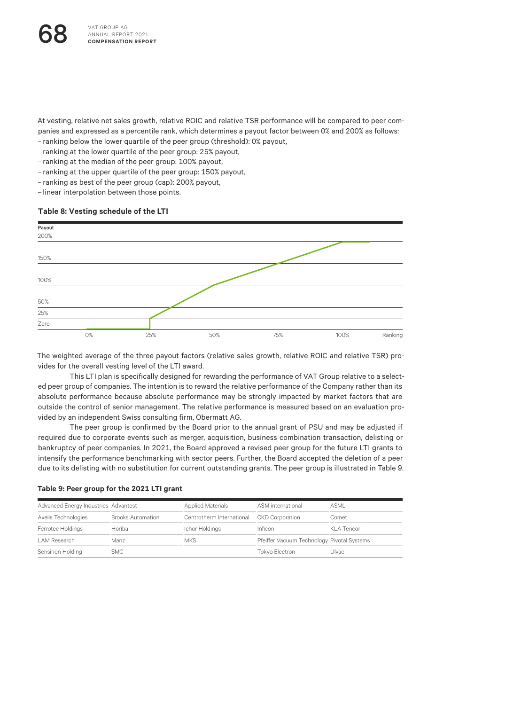At vesting, relative net sales growth, relative ROIC and relative TSR performance will be compared to peer companies and expressed as a percentile rank, which determines a payout factor between 0% and 200% as follows: – ranking below the lower quartile of the peer group (threshold): 0% payout,

– ranking at the lower quartile of the peer group: 25% payout,

– ranking at the median of the peer group: 100% payout,

– ranking at the upper quartile of the peer group: 150% payout,

- ranking as best of the peer group (cap): 200% payout,
- linear interpolation between those points.

#### **Table 8: Vesting schedule of the LTI**



The weighted average of the three payout factors (relative sales growth, relative ROIC and relative TSR) provides for the overall vesting level of the LTI award.

ed peer group of companies. The intention is to reward the relative performance of the Company rather than its<br> This LTI plan is specifically designed for rewarding the performance of VAT Group relative to a selectabsolute performance because absolute performance may be strongly impacted by market factors that are outside the control of senior management. The relative performance is measured based on an evaluation provided by an independent Swiss consulting firm, Obermatt AG.

The peer group is confirmed by the Board prior to the annual grant of PSU and may be adjusted if required due to corporate events such as merger, acquisition, business combination transaction, delisting or bankruptcy of peer companies. In 2021, the Board approved a revised peer group for the future LTI grants to intensify the performance benchmarking with sector peers. Further, the Board accepted the deletion of a peer due to its delisting with no substitution for current outstanding grants. The peer group is illustrated in Table 9.

| Advanced Energy Industries Advantest |                          | <b>Applied Materials</b>  | ASM international                          | ASMI        |
|--------------------------------------|--------------------------|---------------------------|--------------------------------------------|-------------|
| Axelis Technologies                  | <b>Brooks Automation</b> | Centrotherm International | <b>CKD Corporation</b>                     | Comet       |
| Ferrotec Holdings                    | Horiba                   | Ichor Holdings            | Inficon                                    | KI A-Tencor |
| LAM Research                         | Manz                     | <b>MKS</b>                | Pfeiffer Vacuum Technology Pivotal Systems |             |
| Sensirion Holding                    | SMC.                     |                           | Tokvo Electron                             | Ulvac.      |

#### **Table 9: Peer group for the 2021 LTI grant**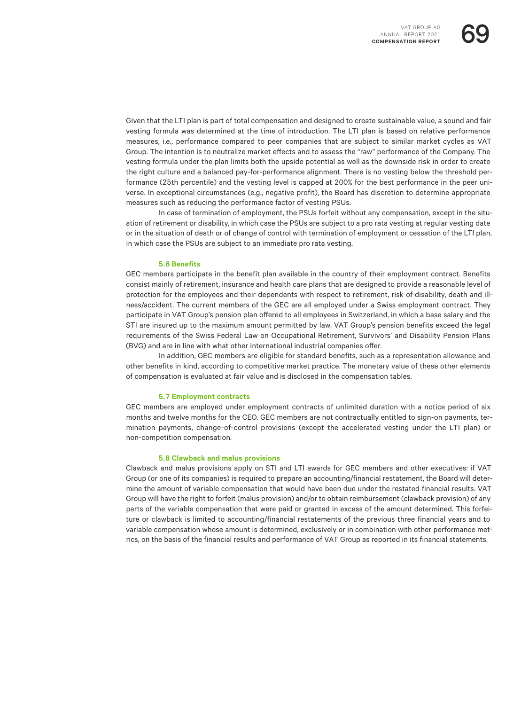Given that the LTI plan is part of total compensation and designed to create sustainable value, a sound and fair vesting formula was determined at the time of introduction. The LTI plan is based on relative performance measures, i.e., performance compared to peer companies that are subject to similar market cycles as VAT Group. The intention is to neutralize market effects and to assess the "raw" performance of the Company. The vesting formula under the plan limits both the upside potential as well as the downside risk in order to create the right culture and a balanced pay-for-performance alignment. There is no vesting below the threshold performance (25th percentile) and the vesting level is capped at 200% for the best performance in the peer universe. In exceptional circumstances (e.g., negative profit), the Board has discretion to determine appropriate measures such as reducing the performance factor of vesting PSUs.

In case of termination of employment, the PSUs forfeit without any compensation, except in the situation of retirement or disability, in which case the PSUs are subject to a pro rata vesting at regular vesting date or in the situation of death or of change of control with termination of employment or cessation of the LTI plan, in which case the PSUs are subject to an immediate pro rata vesting.

#### **5.6 Benefits**

GEC members participate in the benefit plan available in the country of their employment contract. Benefits consist mainly of retirement, insurance and health care plans that are designed to provide a reasonable level of protection for the employees and their dependents with respect to retirement, risk of disability, death and illness/accident. The current members of the GEC are all employed under a Swiss employment contract. They participate in VAT Group's pension plan offered to all employees in Switzerland, in which a base salary and the STI are insured up to the maximum amount permitted by law. VAT Group's pension benefits exceed the legal requirements of the Swiss Federal Law on Occupational Retirement, Survivors' and Disability Pension Plans (BVG) and are in line with what other international industrial companies offer.

In addition, GEC members are eligible for standard benefits, such as a representation allowance and other benefits in kind, according to competitive market practice. The monetary value of these other elements of compensation is evaluated at fair value and is disclosed in the compensation tables.

#### **5.7 Employment contracts**

GEC members are employed under employment contracts of unlimited duration with a notice period of six months and twelve months for the CEO. GEC members are not contractually entitled to sign-on payments, termination payments, change-of-control provisions (except the accelerated vesting under the LTI plan) or non-competition compensation.

#### **5.8 Clawback and malus provisions**

Clawback and malus provisions apply on STI and LTI awards for GEC members and other executives: if VAT Group (or one of its companies) is required to prepare an accounting/financial restatement, the Board will determine the amount of variable compensation that would have been due under the restated financial results. VAT Group will have the right to forfeit (malus provision) and/or to obtain reimbursement (clawback provision) of any parts of the variable compensation that were paid or granted in excess of the amount determined. This forfeiture or clawback is limited to accounting/financial restatements of the previous three financial years and to variable compensation whose amount is determined, exclusively or in combination with other performance metrics, on the basis of the financial results and performance of VAT Group as reported in its financial statements.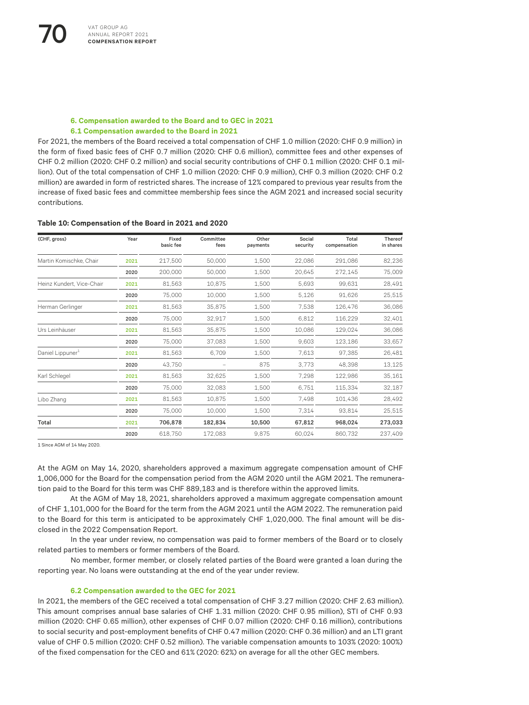#### **6. Compensation awarded to the Board and to GEC in 2021 6.1 Compensation awarded to the Board in 2021**

For 2021, the members of the Board received a total compensation of CHF 1.0 million (2020: CHF 0.9 million) in the form of fixed basic fees of CHF 0.7 million (2020: CHF 0.6 million), committee fees and other expenses of CHF 0.2 million (2020: CHF 0.2 million) and social security contributions of CHF 0.1 million (2020: CHF 0.1 million). Out of the total compensation of CHF 1.0 million (2020: CHF 0.9 million), CHF 0.3 million (2020: CHF 0.2 million) are awarded in form of restricted shares. The increase of 12% compared to previous year results from the increase of fixed basic fees and committee membership fees since the AGM 2021 and increased social security contributions.

#### **Table 10: Compensation of the Board in 2021 and 2020**

| (CHF, gross)                 | Year | Fixed<br>basic fee | Committee<br>fees | Other<br>payments | Social<br>security | Total<br>compensation | Thereof<br>in shares |
|------------------------------|------|--------------------|-------------------|-------------------|--------------------|-----------------------|----------------------|
|                              |      |                    |                   |                   |                    |                       |                      |
| Martin Komischke, Chair      | 2021 | 217,500            | 50,000            | 1,500             | 22,086             | 291.086               | 82,236               |
|                              | 2020 | 200,000            | 50.000            | 1.500             | 20.645             | 272.145               | 75,009               |
| Heinz Kundert, Vice-Chair    | 2021 | 81,563             | 10,875            | 1,500             | 5,693              | 99,631                | 28,491               |
|                              | 2020 | 75,000             | 10,000            | 1,500             | 5,126              | 91,626                | 25,515               |
| Herman Gerlinger             | 2021 | 81,563             | 35,875            | 1,500             | 7,538              | 126,476               | 36,086               |
|                              | 2020 | 75,000             | 32,917            | 1,500             | 6.812              | 116,229               | 32,401               |
| Urs Leinhäuser               | 2021 | 81,563             | 35,875            | 1,500             | 10,086             | 129.024               | 36,086               |
|                              | 2020 | 75,000             | 37,083            | 1.500             | 9,603              | 123,186               | 33,657               |
| Daniel Lippuner <sup>1</sup> | 2021 | 81,563             | 6,709             | 1.500             | 7.613              | 97.385                | 26,481               |
|                              | 2020 | 43,750             |                   | 875               | 3,773              | 48.398                | 13,125               |
| Karl Schlegel                | 2021 | 81,563             | 32,625            | 1,500             | 7,298              | 122,986               | 35,161               |
|                              | 2020 | 75,000             | 32,083            | 1,500             | 6.751              | 115,334               | 32,187               |
| Libo Zhang                   | 2021 | 81,563             | 10,875            | 1,500             | 7.498              | 101,436               | 28,492               |
|                              | 2020 | 75,000             | 10,000            | 1,500             | 7.314              | 93.814                | 25,515               |
| Total                        | 2021 | 706,878            | 182,834           | 10,500            | 67,812             | 968,024               | 273,033              |
|                              | 2020 | 618.750            | 172.083           | 9,875             | 60.024             | 860.732               | 237,409              |

1 Since AGM of 14 May 2020.

At the AGM on May 14, 2020, shareholders approved a maximum aggregate compensation amount of CHF 1,006,000 for the Board for the compensation period from the AGM 2020 until the AGM 2021. The remuneration paid to the Board for this term was CHF 889,183 and is therefore within the approved limits.

At the AGM of May 18, 2021, shareholders approved a maximum aggregate compensation amount of CHF 1,101,000 for the Board for the term from the AGM 2021 until the AGM 2022. The remuneration paid to the Board for this term is anticipated to be approximately CHF 1,020,000. The final amount will be disclosed in the 2022 Compensation Report.

In the year under review, no compensation was paid to former members of the Board or to closely related parties to members or former members of the Board.

No member, former member, or closely related parties of the Board were granted a loan during the reporting year. No loans were outstanding at the end of the year under review.

#### **6.2 Compensation awarded to the GEC for 2021**

In 2021, the members of the GEC received a total compensation of CHF 3.27 million (2020: CHF 2.63 million). This amount comprises annual base salaries of CHF 1.31 million (2020: CHF 0.95 million), STI of CHF 0.93 million (2020: CHF 0.65 million), other expenses of CHF 0.07 million (2020: CHF 0.16 million), contributions to social security and post-employment benefits of CHF 0.47 million (2020: CHF 0.36 million) and an LTI grant value of CHF 0.5 million (2020: CHF 0.52 million). The variable compensation amounts to 103% (2020: 100%) of the fixed compensation for the CEO and 61% (2020: 62%) on average for all the other GEC members.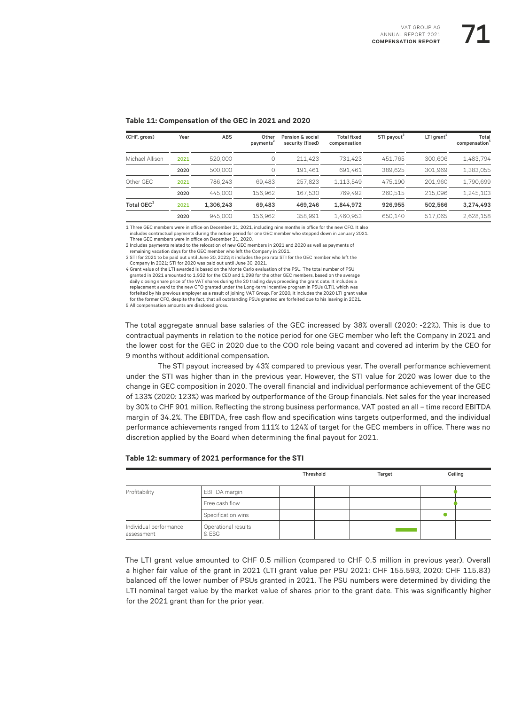#### **Table 11: Compensation of the GEC in 2021 and 2020**

| (CHF, gross)    | Year | <b>ABS</b> | Other<br>payments | Pension & social<br>security (fixed) | <b>Total fixed</b><br>compensation | STI payout <sup>3</sup> | $LTI$ grant <sup>4</sup> | Total<br>compensation <sup>5</sup> |
|-----------------|------|------------|-------------------|--------------------------------------|------------------------------------|-------------------------|--------------------------|------------------------------------|
| Michael Allison | 2021 | 520,000    | $\circ$           | 211.423                              | 731.423                            | 451.765                 | 300,606                  | 1.483.794                          |
|                 | 2020 | 500,000    | 0                 | 191.461                              | 691.461                            | 389.625                 | 301.969                  | 1.383.055                          |
| Other GEC       | 2021 | 786.243    | 69.483            | 257.823                              | 1.113.549                          | 475.190                 | 201.960                  | 1.790.699                          |
|                 | 2020 | 445,000    | 156.962           | 167.530                              | 769.492                            | 260.515                 | 215.096                  | 1.245.103                          |
| Total $GEC1$    | 2021 | 1.306.243  | 69.483            | 469.246                              | 1.844.972                          | 926.955                 | 502.566                  | 3.274.493                          |
|                 | 2020 | 945.000    | 156.962           | 358.991                              | 1.460.953                          | 650.140                 | 517.065                  | 2,628,158                          |

1 Three GEC members were in office on December 31, 2021, including nine months in office for the new CFO. It also includes contractual payments during the notice period for one GEC member who stepped down in January 2021.

Three GEC members were in office on December 31, 2020.

2 Includes payments related to the relocation of new GEC members in 2021 and 2020 as well as payments of

remaining vacation days for the GEC member who left the Company in 2021.

3 STI for 2021 to be paid out until June 30, 2022; it includes the pro rata STI for the GEC member who left the Company in 2021; STI for 2020 was paid out until June 30, 2021.

4 Grant value of the LTI awarded is based on the Monte Carlo evaluation of the PSU. The total number of PSU granted in 2021 amounted to 1,932 for the CEO and 1,298 for the other GEC members, based on the average daily closing share price of the VAT shares during the 20 trading days preceding the grant date. It includes a replacement award to the new CFO granted under the Long-term Incentive program in PSUs (LTI), which was forfeited by his previous employer as a result of joining VAT Group. For 2020, it includes the 2020 LTI grant value for the former CFO, despite the fact, that all outstanding PSUs granted are forfeited due to his leaving in 2021.

5 All compensation amounts are disclosed gross.

The total aggregate annual base salaries of the GEC increased by 38% overall (2020: -22%). This is due to contractual payments in relation to the notice period for one GEC member who left the Company in 2021 and the lower cost for the GEC in 2020 due to the COO role being vacant and covered ad interim by the CEO for 9 months without additional compensation.

The STI payout increased by 43% compared to previous year. The overall performance achievement under the STI was higher than in the previous year. However, the STI value for 2020 was lower due to the change in GEC composition in 2020. The overall financial and individual performance achievement of the GEC of 133% (2020: 123%) was marked by outperformance of the Group financials. Net sales for the year increased by 30% to CHF 901 million. Reflecting the strong business performance, VAT posted an all – time record EBITDA margin of 34.2%. The EBITDA, free cash flow and specification wins targets outperformed, and the individual performance achievements ranged from 111% to 124% of target for the GEC members in office. There was no discretion applied by the Board when determining the final payout for 2021.

|                                      |                              | Threshold | Target | Ceiling |
|--------------------------------------|------------------------------|-----------|--------|---------|
| Profitability                        | EBITDA margin                |           |        |         |
|                                      | Free cash flow               |           |        |         |
|                                      | Specification wins           |           |        |         |
| Individual performance<br>assessment | Operational results<br>& ESG |           |        |         |

#### **Table 12: summary of 2021 performance for the STI**

The LTI grant value amounted to CHF 0.5 million (compared to CHF 0.5 million in previous year). Overall a higher fair value of the grant in 2021 (LTI grant value per PSU 2021: CHF 155.593, 2020: CHF 115.83) balanced off the lower number of PSUs granted in 2021. The PSU numbers were determined by dividing the LTI nominal target value by the market value of shares prior to the grant date. This was significantly higher for the 2021 grant than for the prior year.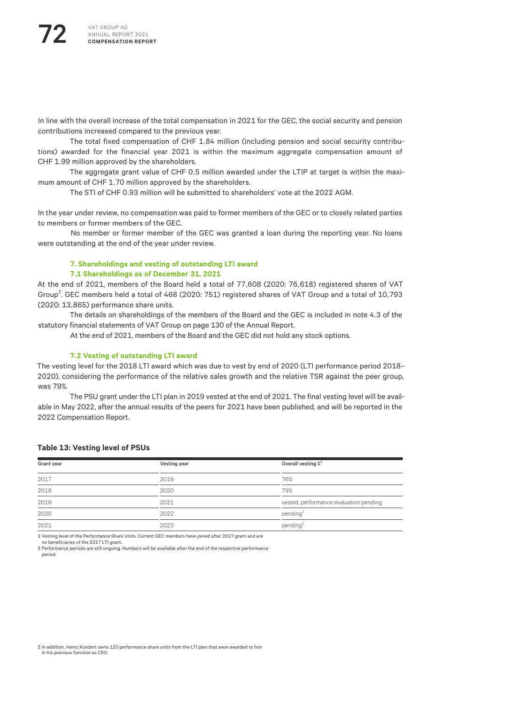In line with the overall increase of the total compensation in 2021 for the GEC, the social security and pension contributions increased compared to the previous year.

The total fixed compensation of CHF 1.84 million (including pension and social security contributions) awarded for the financial year 2021 is within the maximum aggregate compensation amount of CHF 1.99 million approved by the shareholders.

The aggregate grant value of CHF 0.5 million awarded under the LTIP at target is within the maximum amount of CHF 1.70 million approved by the shareholders.

The STI of CHF 0.93 million will be submitted to shareholders' vote at the 2022 AGM.

In the year under review, no compensation was paid to former members of the GEC or to closely related parties to members or former members of the GEC.

No member or former member of the GEC was granted a loan during the reporting year. No loans were outstanding at the end of the year under review.

#### **7. Shareholdings and vesting of outstanding LTI award**

#### **7.1 Shareholdings as of December 31, 2021**

At the end of 2021, members of the Board held a total of 77,608 (2020: 76,618) registered shares of VAT Group<sup>2</sup>. GEC members held a total of 468 (2020: 751) registered shares of VAT Group and a total of 10,793 (2020: 13,865) performance share units.

The details on shareholdings of the members of the Board and the GEC is included in note 4.3 of the statutory financial statements of VAT Group on page 130 of the Annual Report.

At the end of 2021, members of the Board and the GEC did not hold any stock options.

#### **7.2 Vesting of outstanding LTI award**

The vesting level for the 2018 LTI award which was due to vest by end of 2020 (LTI performance period 2018– 2020), considering the performance of the relative sales growth and the relative TSR against the peer group, was 79%.

The PSU grant under the LTI plan in 2019 vested at the end of 2021. The final vesting level will be available in May 2022, after the annual results of the peers for 2021 have been published, and will be reported in the 2022 Compensation Report.

#### **Table 13: Vesting level of PSUs**

| Grant year | Vesting year | Overall vesting $\chi^1$               |
|------------|--------------|----------------------------------------|
| 2017       | 2019         | 76%                                    |
| 2018       | 2020         | 79%                                    |
| 2019       | 2021         | vested, performance evaluation pending |
| 2020       | 2022         | pending $2$                            |
| 2021       | 2023         | pending <sup>2</sup>                   |

1 Vesting level of the Performance Share Units. Current GEC members have joined after 2017 grant and are

no beneficiaries of the 2017 LTI grant.

2 Performance periods are still ongoing. Numbers will be available after the end of the respective performance period.

2 In addition, Heinz Kundert owns 120 performance share units from the LTI plan that were awarded to him in his previous function as CEO.